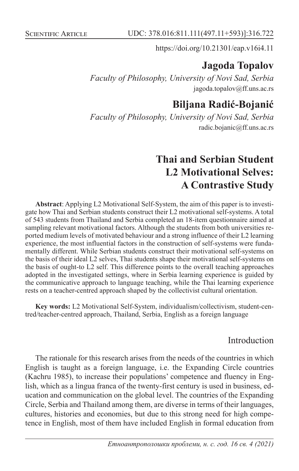https://doi.org/10.21301/eap.v16i4.11

# **Jagoda Topalov**

*Faculty of Philosophy, University of Novi Sad, Serbia* jagoda.topalov@ff.uns.ac.rs

# **Biljana Radić-Bojanić**

*Faculty of Philosophy, University of Novi Sad, Serbia* radic.bojanic@ff.uns.ac.rs

# **Thai and Serbian Student L2 Motivational Selves: A Contrastive Study**

**Abstract**: Applying L2 Motivational Self-System, the aim of this paper is to investigate how Thai and Serbian students construct their L2 motivational self-systems. A total of 543 students from Thailand and Serbia completed an 18-item questionnaire aimed at sampling relevant motivational factors. Although the students from both universities reported medium levels of motivated behaviour and a strong influence of their L2 learning experience, the most influential factors in the construction of self-systems were fundamentally different. While Serbian students construct their motivational self-systems on the basis of their ideal L2 selves, Thai students shape their motivational self-systems on the basis of ought-to L2 self. This difference points to the overall teaching approaches adopted in the investigated settings, where in Serbia learning experience is guided by the communicative approach to language teaching, while the Thai learning experience rests on a teacher-centred approach shaped by the collectivist cultural orientation.

**Key words:** L2 Motivational Self-System, individualism/collectivism, student-centred/teacher-centred approach, Thailand, Serbia, English as a foreign language

### Introduction

The rationale for this research arises from the needs of the countries in which English is taught as a foreign language, i.e. the Expanding Circle countries (Kachru 1985), to increase their populations' competence and fluency in English, which as a lingua franca of the twenty-first century is used in business, education and communication on the global level. The countries of the Expanding Circle, Serbia and Thailand among them, are diverse in terms of their languages, cultures, histories and economies, but due to this strong need for high competence in English, most of them have included English in formal education from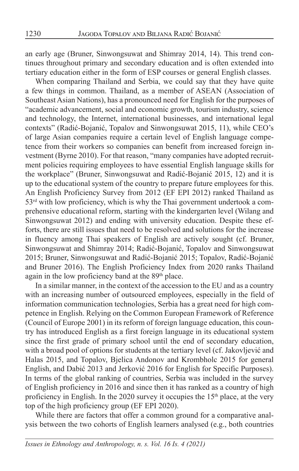an early age (Bruner, Sinwongsuwat and Shimray 2014, 14). This trend continues throughout primary and secondary education and is often extended into tertiary education either in the form of ESP courses or general English classes.

When comparing Thailand and Serbia, we could say that they have quite a few things in common. Thailand, as a member of ASEAN (Association of Southeast Asian Nations), has a pronounced need for English for the purposes of "academic advancement, social and economic growth, tourism industry, science and technology, the Internet, international businesses, and international legal contexts" (Radić-Bojanić, Topalov and Sinwongsuwat 2015, 11), while CEO's of large Asian companies require a certain level of English language competence from their workers so companies can benefit from increased foreign investment (Byrne 2010). For that reason, "many companies have adopted recruitment policies requiring employees to have essential English language skills for the workplace" (Bruner, Sinwongsuwat and Radić-Bojanić 2015, 12) and it is up to the educational system of the country to prepare future employees for this. An English Proficiency Survey from 2012 (EF EPI 2012) ranked Thailand as 53<sup>rd</sup> with low proficiency, which is why the Thai government undertook a comprehensive educational reform, starting with the kindergarten level (Wilang and Sinwongsuwat 2012) and ending with university education. Despite these efforts, there are still issues that need to be resolved and solutions for the increase in fluency among Thai speakers of English are actively sought (cf. Bruner, Sinwongsuwat and Shimray 2014; Radić-Bojanić, Topalov and Sinwongsuwat 2015; Bruner, Sinwongsuwat and Radić-Bojanić 2015; Topalov, Radić-Bojanić and Bruner 2016). The English Proficiency Index from 2020 ranks Thailand again in the low proficiency band at the 89<sup>th</sup> place.

In a similar manner, in the context of the accession to the EU and as a country with an increasing number of outsourced employees, especially in the field of information communication technologies, Serbia has a great need for high competence in English. Relying on the Common European Framework of Reference (Council of Europe 2001) in its reform of foreign language education, this country has introduced English as a first foreign language in its educational system since the first grade of primary school until the end of secondary education, with a broad pool of options for students at the tertiary level (cf. Jakovljević and Halas 2015, and Topalov, Bjelica Andonov and Krombholc 2015 for general English, and Dabić 2013 and Jerković 2016 for English for Specific Purposes). In terms of the global ranking of countries, Serbia was included in the survey of English proficiency in 2016 and since then it has ranked as a country of high proficiency in English. In the 2020 survey it occupies the 15<sup>th</sup> place, at the very top of the high proficiency group (EF EPI 2020).

While there are factors that offer a common ground for a comparative analysis between the two cohorts of English learners analysed (e.g., both countries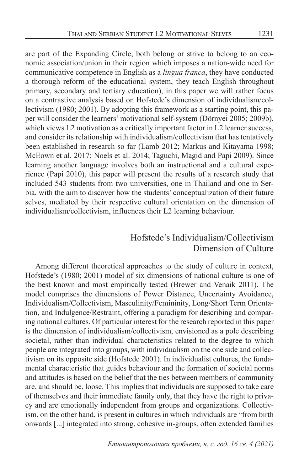are part of the Expanding Circle, both belong or strive to belong to an economic association/union in their region which imposes a nation-wide need for communicative competence in English as a *lingua franca*, they have conducted a thorough reform of the educational system, they teach English throughout primary, secondary and tertiary education), in this paper we will rather focus on a contrastive analysis based on Hofstede's dimension of individualism/collectivism (1980; 2001). By adopting this framework as a starting point, this paper will consider the learners' motivational self-system (Dörnyei 2005; 2009b), which views L2 motivation as a critically important factor in L2 learner success, and consider its relationship with individualism/collectivism that has tentatively been established in research so far (Lamb 2012; Markus and Kitayama 1998; McEown et al. 2017; Noels et al. 2014; Taguchi, Magid and Papi 2009). Since learning another language involves both an instructional and a cultural experience (Papi 2010), this paper will present the results of a research study that included 543 students from two universities, one in Thailand and one in Serbia, with the aim to discover how the students' conceptualization of their future selves, mediated by their respective cultural orientation on the dimension of individualism/collectivism, influences their L2 learning behaviour.

## Hofstede's Individualism/Collectivism Dimension of Culture

Among different theoretical approaches to the study of culture in context, Hofstede's (1980; 2001) model of six dimensions of national culture is one of the best known and most empirically tested (Brewer and Venaik 2011). The model comprises the dimensions of Power Distance, Uncertainty Avoidance, Individualism/Collectivism, Masculinity/Femininity, Long/Short Term Orientation, and Indulgence/Restraint, offering a paradigm for describing and comparing national cultures. Of particular interest for the research reported in this paper is the dimension of individualism/collectivism, envisioned as a pole describing societal, rather than individual characteristics related to the degree to which people are integrated into groups, with individualism on the one side and collectivism on its opposite side (Hofstede 2001). In individualist cultures, the fundamental characteristic that guides behaviour and the formation of societal norms and attitudes is based on the belief that the ties between members of community are, and should be, loose. This implies that individuals are supposed to take care of themselves and their immediate family only, that they have the right to privacy and are emotionally independent from groups and organizations. Collectivism, on the other hand, is present in cultures in which individuals are "from birth onwards [...] integrated into strong, cohesive in-groups, often extended families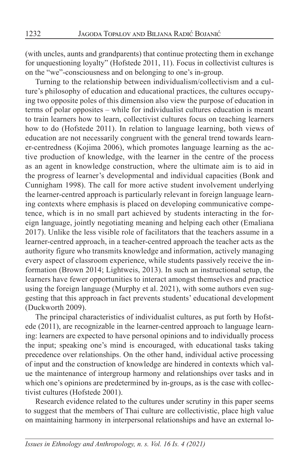(with uncles, aunts and grandparents) that continue protecting them in exchange for unquestioning loyalty" (Hofstede 2011, 11). Focus in collectivist cultures is on the "we"-consciousness and on belonging to one's in-group.

Turning to the relationship between individualism/collectivism and a culture's philosophy of education and educational practices, the cultures occupying two opposite poles of this dimension also view the purpose of education in terms of polar opposites – while for individualist cultures education is meant to train learners how to learn, collectivist cultures focus on teaching learners how to do (Hofstede 2011). In relation to language learning, both views of education are not necessarily congruent with the general trend towards learner-centredness (Kojima 2006), which promotes language learning as the active production of knowledge, with the learner in the centre of the process as an agent in knowledge construction, where the ultimate aim is to aid in the progress of learner's developmental and individual capacities (Bonk and Cunnigham 1998). The call for more active student involvement underlying the learner-centred approach is particularly relevant in foreign language learning contexts where emphasis is placed on developing communicative competence, which is in no small part achieved by students interacting in the foreign language, jointly negotiating meaning and helping each other (Emaliana 2017). Unlike the less visible role of facilitators that the teachers assume in a learner-centred approach, in a teacher-centred approach the teacher acts as the authority figure who transmits knowledge and information, actively managing every aspect of classroom experience, while students passively receive the information (Brown 2014; Lightweis, 2013). In such an instructional setup, the learners have fewer opportunities to interact amongst themselves and practice using the foreign language (Murphy et al. 2021), with some authors even suggesting that this approach in fact prevents students' educational development (Duckworth 2009).

The principal characteristics of individualist cultures, as put forth by Hofstede (2011), are recognizable in the learner-centred approach to language learning: learners are expected to have personal opinions and to individually process the input; speaking one's mind is encouraged, with educational tasks taking precedence over relationships. On the other hand, individual active processing of input and the construction of knowledge are hindered in contexts which value the maintenance of intergroup harmony and relationships over tasks and in which one's opinions are predetermined by in-groups, as is the case with collectivist cultures (Hofstede 2001).

Research evidence related to the cultures under scrutiny in this paper seems to suggest that the members of Thai culture are collectivistic, place high value on maintaining harmony in interpersonal relationships and have an external lo-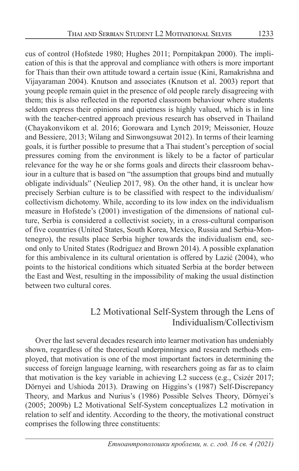cus of control (Hofstede 1980; Hughes 2011; Pornpitakpan 2000). The implication of this is that the approval and compliance with others is more important for Thais than their own attitude toward a certain issue (Kini, Ramakrishna and Vijayaraman 2004). Knutson and associates (Knutson et al. 2003) report that young people remain quiet in the presence of old people rarely disagreeing with them; this is also reflected in the reported classroom behaviour where students seldom express their opinions and quietness is highly valued, which is in line with the teacher-centred approach previous research has observed in Thailand (Chayakonvikom et al. 2016; Gorowara and Lynch 2019; Meissonier, Houze and Bessiere, 2013; Wilang and Sinwongsuwat 2012). In terms of their learning goals, it is further possible to presume that a Thai student's perception of social pressures coming from the environment is likely to be a factor of particular relevance for the way he or she forms goals and directs their classroom behaviour in a culture that is based on "the assumption that groups bind and mutually obligate individuals" (Neuliep 2017, 98). On the other hand, it is unclear how precisely Serbian culture is to be classified with respect to the individualism/ collectivism dichotomy. While, according to its low index on the individualism measure in Hofstede's (2001) investigation of the dimensions of national culture, Serbia is considered a collectivist society, in a cross-cultural comparison of five countries (United States, South Korea, Mexico, Russia and Serbia-Montenegro), the results place Serbia higher towards the individualism end, second only to United States (Rodriguez and Brown 2014). A possible explanation for this ambivalence in its cultural orientation is offered by Lazić (2004), who points to the historical conditions which situated Serbia at the border between the East and West, resulting in the impossibility of making the usual distinction between two cultural cores.

## L2 Motivational Self-System through the Lens of Individualism/Collectivism

Over the last several decades research into learner motivation has undeniably shown, regardless of the theoretical underpinnings and research methods employed, that motivation is one of the most important factors in determining the success of foreign language learning, with researchers going as far as to claim that motivation is the key variable in achieving L2 success (e.g., Csizér 2017; Dörnyei and Ushioda 2013). Drawing on Higgins's (1987) Self-Discrepancy Theory, and Markus and Nurius's (1986) Possible Selves Theory, Dörnyei's (2005; 2009b) L2 Motivational Self-System conceptualizes L2 motivation in relation to self and identity. According to the theory, the motivational construct comprises the following three constituents: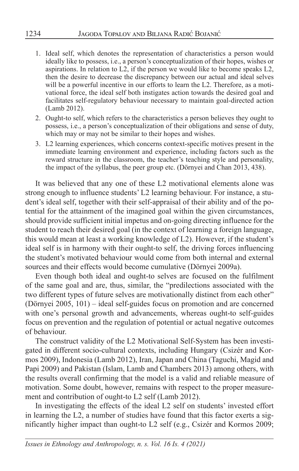- 1. Ideal self, which denotes the representation of characteristics a person would ideally like to possess, i.e., a person's conceptualization of their hopes, wishes or aspirations. In relation to L2, if the person we would like to become speaks L2, then the desire to decrease the discrepancy between our actual and ideal selves will be a powerful incentive in our efforts to learn the L2. Therefore, as a motivational force, the ideal self both instigates action towards the desired goal and facilitates self-regulatory behaviour necessary to maintain goal-directed action (Lamb 2012).
- 2. Ought-to self, which refers to the characteristics a person believes they ought to possess, i.e., a person's conceptualization of their obligations and sense of duty, which may or may not be similar to their hopes and wishes.
- 3. L2 learning experiences, which concerns context-specific motives present in the immediate learning environment and experience, including factors such as the reward structure in the classroom, the teacher's teaching style and personality, the impact of the syllabus, the peer group etc. (Dörnyei and Chan 2013, 438).

It was believed that any one of these L2 motivational elements alone was strong enough to influence students' L2 learning behaviour. For instance, a student's ideal self, together with their self-appraisal of their ability and of the potential for the attainment of the imagined goal within the given circumstances, should provide sufficient initial impetus and on-going directing influence for the student to reach their desired goal (in the context of learning a foreign language, this would mean at least a working knowledge of L2). However, if the student's ideal self is in harmony with their ought-to self, the driving forces influencing the student's motivated behaviour would come from both internal and external sources and their effects would become cumulative (Dörnyei 2009a).

Even though both ideal and ought-to selves are focused on the fulfilment of the same goal and are, thus, similar, the "predilections associated with the two different types of future selves are motivationally distinct from each other" (Dörnyei 2005, 101) – ideal self-guides focus on promotion and are concerned with one's personal growth and advancements, whereas ought-to self-guides focus on prevention and the regulation of potential or actual negative outcomes of behaviour.

The construct validity of the L2 Motivational Self-System has been investigated in different socio-cultural contexts, including Hungary (Csizér and Kormos 2009), Indonesia (Lamb 2012), Iran, Japan and China (Taguchi, Magid and Papi 2009) and Pakistan (Islam, Lamb and Chambers 2013) among others, with the results overall confirming that the model is a valid and reliable measure of motivation. Some doubt, however, remains with respect to the proper measurement and contribution of ought-to L2 self (Lamb 2012).

In investigating the effects of the ideal L2 self on students' invested effort in learning the  $L2$ , a number of studies have found that this factor exerts a significantly higher impact than ought-to L2 self (e.g., Csizér and Kormos 2009;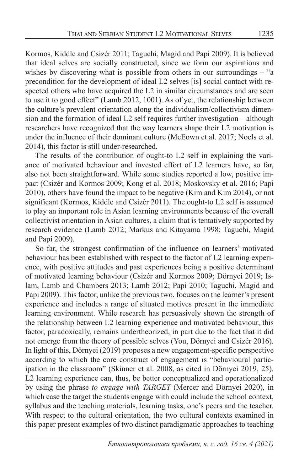Kormos, Kiddle and Csizér 2011; Taguchi, Magid and Papi 2009). It is believed that ideal selves are socially constructed, since we form our aspirations and wishes by discovering what is possible from others in our surroundings – "a precondition for the development of ideal L2 selves [is] social contact with respected others who have acquired the L2 in similar circumstances and are seen to use it to good effect" (Lamb 2012, 1001). As of yet, the relationship between the culture's prevalent orientation along the individualism/collectivism dimension and the formation of ideal L2 self requires further investigation – although researchers have recognized that the way learners shape their L2 motivation is under the influence of their dominant culture (McEown et al. 2017; Noels et al. 2014), this factor is still under-researched.

The results of the contribution of ought-to L2 self in explaining the variance of motivated behaviour and invested effort of L2 learners have, so far, also not been straightforward. While some studies reported a low, positive impact (Csizér and Kormos 2009; Kong et al. 2018; Moskovsky et al. 2016; Papi 2010), others have found the impact to be negative (Kim and Kim 2014), or not significant (Kormos, Kiddle and Csizér 2011). The ought-to L2 self is assumed to play an important role in Asian learning environments because of the overall collectivist orientation in Asian cultures, a claim that is tentatively supported by research evidence (Lamb 2012; Markus and Kitayama 1998; Taguchi, Magid and Papi 2009).

So far, the strongest confirmation of the influence on learners' motivated behaviour has been established with respect to the factor of L2 learning experience, with positive attitudes and past experiences being a positive determinant of motivated learning behaviour (Csizér and Kormos 2009; Dörnyei 2019; Islam, Lamb and Chambers 2013; Lamb 2012; Papi 2010; Taguchi, Magid and Papi 2009). This factor, unlike the previous two, focuses on the learner's present experience and includes a range of situated motives present in the immediate learning environment. While research has persuasively shown the strength of the relationship between L2 learning experience and motivated behaviour, this factor, paradoxically, remains undertheorized, in part due to the fact that it did not emerge from the theory of possible selves (You, Dörnyei and Csizér 2016). In light of this, Dörnyei (2019) proposes a new engagement-specific perspective according to which the core construct of engagement is "behavioural participation in the classroom" (Skinner et al. 2008, as cited in Dörnyei 2019, 25). L2 learning experience can, thus, be better conceptualized and operationalized by using the phrase *to engage with TARGET* (Mercer and Dörnyei 2020), in which case the target the students engage with could include the school context, syllabus and the teaching materials, learning tasks, one's peers and the teacher. With respect to the cultural orientation, the two cultural contexts examined in this paper present examples of two distinct paradigmatic approaches to teaching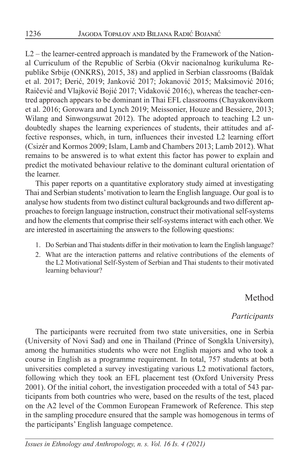L2 – the learner-centred approach is mandated by the Framework of the National Curriculum of the Republic of Serbia (Okvir nacionalnog kurikuluma Republike Srbije (ONKRS), 2015, 38) and applied in Serbian classrooms (Baïdak et al. 2017; Đerić, 2019; Janković 2017; Jokanović 2015; Maksimović 2016; Raičević and Vlajković Bojić 2017; Vidaković 2016;), whereas the teacher-centred approach appears to be dominant in Thai EFL classrooms (Chayakonvikom et al. 2016; Gorowara and Lynch 2019; Meissonier, Houze and Bessiere, 2013; Wilang and Sinwongsuwat 2012). The adopted approach to teaching L2 undoubtedly shapes the learning experiences of students, their attitudes and affective responses, which, in turn, influences their invested L2 learning effort (Csizér and Kormos 2009; Islam, Lamb and Chambers 2013; Lamb 2012). What remains to be answered is to what extent this factor has power to explain and predict the motivated behaviour relative to the dominant cultural orientation of the learner.

This paper reports on a quantitative exploratory study aimed at investigating Thai and Serbian students' motivation to learn the English language. Our goal is to analyse how students from two distinct cultural backgrounds and two different approaches to foreign language instruction, construct their motivational self-systems and how the elements that comprise their self-systems interact with each other. We are interested in ascertaining the answers to the following questions:

- 1. Do Serbian and Thai students differ in their motivation to learn the English language?
- 2. What are the interaction patterns and relative contributions of the elements of the L2 Motivational Self-System of Serbian and Thai students to their motivated learning behaviour?

# Method

## *Participants*

The participants were recruited from two state universities, one in Serbia (University of Novi Sad) and one in Thailand (Prince of Songkla University), among the humanities students who were not English majors and who took a course in English as a programme requirement. In total, 757 students at both universities completed a survey investigating various L2 motivational factors, following which they took an EFL placement test (Oxford University Press 2001). Of the initial cohort, the investigation proceeded with a total of 543 participants from both countries who were, based on the results of the test, placed on the A2 level of the Common European Framework of Reference. This step in the sampling procedure ensured that the sample was homogenous in terms of the participants' English language competence.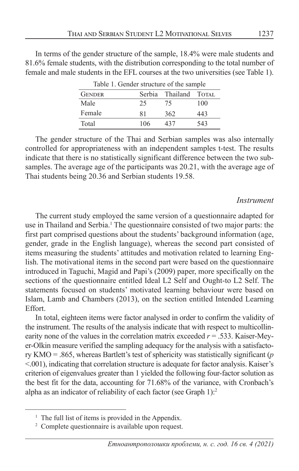In terms of the gender structure of the sample, 18.4% were male students and 81.6% female students, with the distribution corresponding to the total number of female and male students in the EFL courses at the two universities (see Table 1).

| raore 1. Senaer structure of the sumple |     |                       |     |  |
|-----------------------------------------|-----|-----------------------|-----|--|
| <b>GENDER</b>                           |     | Serbia Thailand TOTAL |     |  |
| Male                                    | 25  | 75                    | 100 |  |
| Female                                  | 81  | 362                   | 443 |  |
| Total                                   | 106 | 437                   | 543 |  |

Table 1. Gender structure of the sample

The gender structure of the Thai and Serbian samples was also internally controlled for appropriateness with an independent samples t-test. The results indicate that there is no statistically significant difference between the two subsamples. The average age of the participants was 20.21, with the average age of Thai students being 20.36 and Serbian students 19.58.

#### *Instrument*

The current study employed the same version of a questionnaire adapted for use in Thailand and Serbia.<sup>1</sup> The questionnaire consisted of two major parts: the first part comprised questions about the students' background information (age, gender, grade in the English language), whereas the second part consisted of items measuring the students' attitudes and motivation related to learning English. The motivational items in the second part were based on the questionnaire introduced in Taguchi, Magid and Papi's (2009) paper, more specifically on the sections of the questionnaire entitled Ideal L2 Self and Ought-to L2 Self. The statements focused on students' motivated learning behaviour were based on Islam, Lamb and Chambers (2013), on the section entitled Intended Learning Effort.

In total, eighteen items were factor analysed in order to confirm the validity of the instrument. The results of the analysis indicate that with respect to multicollinearity none of the values in the correlation matrix exceeded  $r = .533$ . Kaiser-Meyer-Olkin measure verified the sampling adequacy for the analysis with a satisfactory KMO = .865, whereas Bartlett's test of sphericity was statistically significant (*p*  <.001), indicating that correlation structure is adequate for factor analysis. Kaiser's criterion of eigenvalues greater than 1 yielded the following four-factor solution as the best fit for the data, accounting for 71.68% of the variance, with Cronbach's alpha as an indicator of reliability of each factor (see Graph 1):2

<sup>&</sup>lt;sup>1</sup> The full list of ítems is provided in the Appendix.

<sup>&</sup>lt;sup>2</sup> Complete questionnaire is available upon request.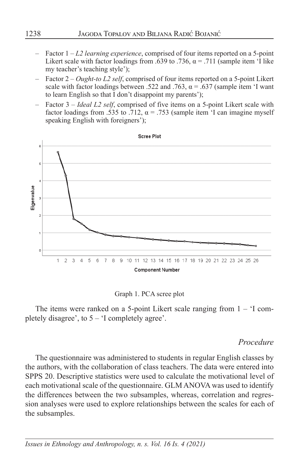- Factor 1 *L2 learning experience*, comprised of four items reported on a 5-point Likert scale with factor loadings from .639 to .736,  $\alpha$  = .711 (sample item 'I like my teacher's teaching style');
- Factor 2 *Ought-to L2 self*, comprised of four items reported on a 5-point Likert scale with factor loadings between .522 and .763,  $\alpha$  = .637 (sample item 'I want to learn English so that I don't disappoint my parents');
- Factor 3 *Ideal L2 self*, comprised of five items on a 5-point Likert scale with factor loadings from .535 to .712,  $\alpha$  = .753 (sample item 'I can imagine myself speaking English with foreigners');



#### Graph 1. PCA scree plot

The items were ranked on a 5-point Likert scale ranging from  $1 - 1$  completely disagree', to  $5 - 1$  completely agree'.

#### *Procedure*

The questionnaire was administered to students in regular English classes by the authors, with the collaboration of class teachers. The data were entered into SPPS 20. Descriptive statistics were used to calculate the motivational level of each motivational scale of the questionnaire. GLM ANOVA was used to identify the differences between the two subsamples, whereas, correlation and regression analyses were used to explore relationships between the scales for each of the subsamples.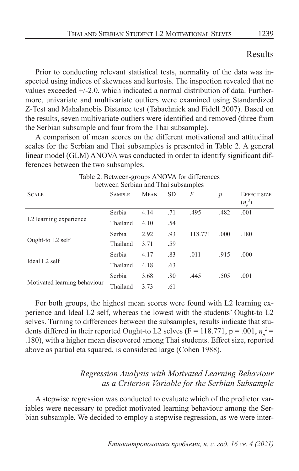## Results

Prior to conducting relevant statistical tests, normality of the data was inspected using indices of skewness and kurtosis. The inspection revealed that no values exceeded +/-2.0, which indicated a normal distribution of data. Furthermore, univariate and multivariate outliers were examined using Standardized Z-Test and Mahalanobis Distance test (Tabachnick and Fidell 2007). Based on the results, seven multivariate outliers were identified and removed (three from the Serbian subsample and four from the Thai subsample).

A comparison of mean scores on the different motivational and attitudinal scales for the Serbian and Thai subsamples is presented in Table 2. A general linear model (GLM) ANOVA was conducted in order to identify significant differences between the two subsamples.

| between Serbian and Thai subsamples |               |             |           |         |                |                                    |
|-------------------------------------|---------------|-------------|-----------|---------|----------------|------------------------------------|
| <b>SCALE</b>                        | <b>SAMPLE</b> | <b>MEAN</b> | <b>SD</b> | F       | $\overline{p}$ | <b>EFFECT SIZE</b><br>$(\eta_p^2)$ |
|                                     | Serbia        | 4.14        | .71       | .495    | .482           | .001                               |
| L <sub>2</sub> learning experience  | Thailand      | 4.10        | .54       |         |                |                                    |
|                                     | Serbia        | 2.92        | .93       | 118.771 | .000           | .180                               |
| Ought-to L2 self                    | Thailand      | 3.71        | .59       |         |                |                                    |
|                                     | Serbia        | 4.17        | .83       | .011    | .915           | .000                               |
| Ideal L <sub>2</sub> self           | Thailand      | 4.18        | .63       |         |                |                                    |
|                                     | Serbia        | 3.68        | .80       | .445    | .505           | .001                               |
| Motivated learning behaviour        | Thailand      | 3.73        | .61       |         |                |                                    |

Table 2. Between-groups ANOVA for differences between Serbian and Thai subsamples

For both groups, the highest mean scores were found with L2 learning experience and Ideal L2 self, whereas the lowest with the students' Ought-to L2 selves. Turning to differences between the subsamples, results indicate that students differed in their reported Ought-to L2 selves (F = 118.771, p = .001,  $\eta_p^2$  = .180), with a higher mean discovered among Thai students. Effect size, reported above as partial eta squared, is considered large (Cohen 1988).

## *Regression Analysis with Motivated Learning Behaviour as a Criterion Variable for the Serbian Subsample*

A stepwise regression was conducted to evaluate which of the predictor variables were necessary to predict motivated learning behaviour among the Serbian subsample. We decided to employ a stepwise regression, as we were inter-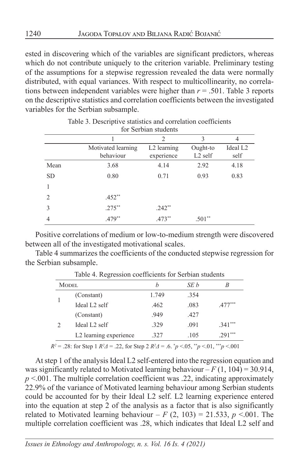ested in discovering which of the variables are significant predictors, whereas which do not contribute uniquely to the criterion variable. Preliminary testing of the assumptions for a stepwise regression revealed the data were normally distributed, with equal variances. With respect to multicollinearity, no correlations between independent variables were higher than  $r = .501$ . Table 3 reports on the descriptive statistics and correlation coefficients between the investigated variables for the Serbian subsample.

|                             | for Sefolan students            |                                       |                                 |                              |  |
|-----------------------------|---------------------------------|---------------------------------------|---------------------------------|------------------------------|--|
|                             |                                 | $\overline{2}$                        | 3                               | 4                            |  |
|                             | Motivated learning<br>behaviour | L <sub>2</sub> learning<br>experience | Ought-to<br>L <sub>2</sub> self | Ideal L <sub>2</sub><br>self |  |
| Mean                        | 3.68                            | 4.14                                  | 2.92                            | 4.18                         |  |
| <b>SD</b>                   | 0.80                            | 0.71                                  | 0.93                            | 0.83                         |  |
|                             |                                 |                                       |                                 |                              |  |
| $\mathcal{D}_{\mathcal{L}}$ | $.452**$                        |                                       |                                 |                              |  |
| 3                           | $.275***$                       | $.242**$                              |                                 |                              |  |
| 4                           | .479**                          | .473**                                | $.501**$                        |                              |  |

#### Table 3. Descriptive statistics and correlation coefficients for Serbian students

Positive correlations of medium or low-to-medium strength were discovered between all of the investigated motivational scales.

Table 4 summarizes the coefficients of the conducted stepwise regression for the Serbian subsample.

| <b>MODEL</b>                                         | h     | SE b | B                   |
|------------------------------------------------------|-------|------|---------------------|
| (Constant)                                           | 1.749 | .354 |                     |
| Ideal L <sub>2</sub> self                            | .462  | .083 | $.477$ <sup>*</sup> |
| (Constant)                                           | .949  | .427 |                     |
| Ideal L <sub>2</sub> self                            | .329  | .091 | $.341***$           |
| L2 learning experience                               | .327  | .105 | $.291***$           |
| المحامد المتحامين المستحقق المتحدث المساحية والمتحدث |       |      | ---                 |

Table 4. Regression coefficients for Serbian students

 $R^2 = .28$ : for Step 1  $R^2 \Delta = .22$ , for Step 2  $R^2 \Delta = .6$ .  $p < .05$ ,  $p < .01$ ,  $p < .001$ 

At step 1 of the analysis Ideal L2 self-entered into the regression equation and was significantly related to Motivated learning behaviour  $-F(1, 104) = 30.914$ , *p* <.001. The multiple correlation coefficient was .22, indicating approximately 22.9% of the variance of Motivated learning behaviour among Serbian students could be accounted for by their Ideal L2 self. L2 learning experience entered into the equation at step 2 of the analysis as a factor that is also significantly related to Motivated learning behaviour –  $F(2, 103) = 21.533$ ,  $p \le 0.001$ . The multiple correlation coefficient was .28, which indicates that Ideal L2 self and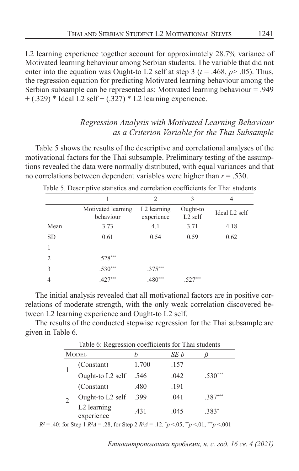L2 learning experience together account for approximately 28.7% variance of Motivated learning behaviour among Serbian students. The variable that did not enter into the equation was Ought-to L2 self at step 3 ( $t = .468$ ,  $p > .05$ ). Thus, the regression equation for predicting Motivated learning behaviour among the Serbian subsample can be represented as: Motivated learning behaviour = .949  $+$  (.329) \* Ideal L2 self  $+$  (.327) \* L2 learning experience.

## *Regression Analysis with Motivated Learning Behaviour as a Criterion Variable for the Thai Subsample*

Table 5 shows the results of the descriptive and correlational analyses of the motivational factors for the Thai subsample. Preliminary testing of the assumptions revealed the data were normally distributed, with equal variances and that no correlations between dependent variables were higher than *r* = .530.

|               |                                 | $\overline{2}$                        | 3                     | 4                         |
|---------------|---------------------------------|---------------------------------------|-----------------------|---------------------------|
|               | Motivated learning<br>behaviour | L <sub>2</sub> learning<br>experience | Ought-to<br>$L2$ self | Ideal L <sub>2</sub> self |
| Mean          | 3.73                            | 4.1                                   | 3.71                  | 4.18                      |
| <b>SD</b>     | 0.61                            | 0.54                                  | 0.59                  | 0.62                      |
|               |                                 |                                       |                       |                           |
| $\mathcal{D}$ | $.528***$                       |                                       |                       |                           |
| $\mathcal{E}$ | $.530***$                       | $.375***$                             |                       |                           |
| 4             | $.427***$                       | $.480***$                             | .527                  |                           |

Table 5. Descriptive statistics and correlation coefficients for Thai students

The initial analysis revealed that all motivational factors are in positive correlations of moderate strength, with the only weak correlation discovered between L2 learning experience and Ought-to L2 self.

The results of the conducted stepwise regression for the Thai subsample are given in Table 6.

Table 6: Regression coefficients for Thai students

| <b>MODEL</b>              |              | SE b |           |
|---------------------------|--------------|------|-----------|
| (Constant)                | 1.700        | .157 |           |
| Ought-to L2 self          | .546         | .042 | $.530***$ |
| (Constant)                | .480         | .191 |           |
| Ought-to L2 self          | .399<br>.041 |      | $.387***$ |
| L2 learning<br>experience | .431         | .045 | $.383*$   |

 $R^2 = .40$ : for Step 1  $R^2 \Delta = .28$ , for Step 2  $R^2 \Delta = .12$ .  $^*p < .05$ ,  $^*p < .01$ ,  $^{***}p < .001$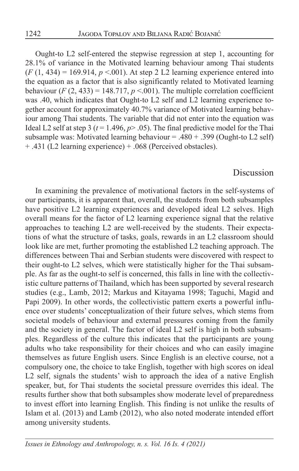Ought-to L2 self-entered the stepwise regression at step 1, accounting for 28.1% of variance in the Motivated learning behaviour among Thai students  $(F (1, 434) = 169.914, p < .001)$ . At step 2 L2 learning experience entered into the equation as a factor that is also significantly related to Motivated learning behaviour  $(F (2, 433) = 148.717, p < 0.001)$ . The multiple correlation coefficient was .40, which indicates that Ought-to L2 self and L2 learning experience together account for approximately 40.7% variance of Motivated learning behaviour among Thai students. The variable that did not enter into the equation was Ideal L2 self at step 3 ( $t = 1.496$ ,  $p > .05$ ). The final predictive model for the Thai subsample was: Motivated learning behaviour = .480 + .399 (Ought-to L2 self) + .431 (L2 learning experience) + .068 (Perceived obstacles).

#### Discussion

In examining the prevalence of motivational factors in the self-systems of our participants, it is apparent that, overall, the students from both subsamples have positive L2 learning experiences and developed ideal L2 selves. High overall means for the factor of L2 learning experience signal that the relative approaches to teaching L2 are well-received by the students. Their expectations of what the structure of tasks, goals, rewards in an L2 classroom should look like are met, further promoting the established L2 teaching approach. The differences between Thai and Serbian students were discovered with respect to their ought-to L2 selves, which were statistically higher for the Thai subsample. As far as the ought-to self is concerned, this falls in line with the collectivistic culture patterns of Thailand, which has been supported by several research studies (e.g., Lamb, 2012; Markus and Kitayama 1998; Taguchi, Magid and Papi 2009). In other words, the collectivistic pattern exerts a powerful influence over students' conceptualization of their future selves, which stems from societal models of behaviour and external pressures coming from the family and the society in general. The factor of ideal L2 self is high in both subsamples. Regardless of the culture this indicates that the participants are young adults who take responsibility for their choices and who can easily imagine themselves as future English users. Since English is an elective course, not a compulsory one, the choice to take English, together with high scores on ideal L2 self, signals the students' wish to approach the idea of a native English speaker, but, for Thai students the societal pressure overrides this ideal. The results further show that both subsamples show moderate level of preparedness to invest effort into learning English. This finding is not unlike the results of Islam et al. (2013) and Lamb (2012), who also noted moderate intended effort among university students.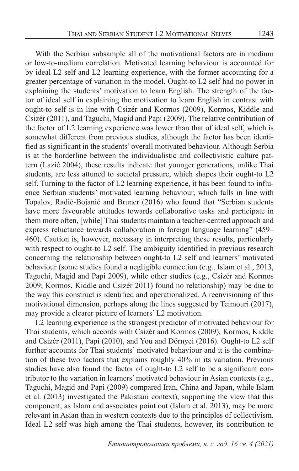With the Serbian subsample all of the motivational factors are in medium or low-to-medium correlation. Motivated learning behaviour is accounted for by ideal L2 self and L2 learning experience, with the former accounting for a greater percentage of variation in the model. Ought-to L2 self had no power in explaining the students' motivation to learn English. The strength of the factor of ideal self in explaining the motivation to learn English in contrast with ought-to self is in line with Csizér and Kormos (2009), Kormos, Kiddle and Csizér (2011), and Taguchi, Magid and Papi (2009). The relative contribution of the factor of L2 learning experience was lower than that of ideal self, which is somewhat different from previous studies, although the factor has been identified as significant in the students' overall motivated behaviour. Although Serbia is at the borderline between the individualistic and collectivistic culture pattern (Lazić 2004), these results indicate that younger generations, unlike Thai students, are less attuned to societal pressure, which shapes their ought-to L2 self. Turning to the factor of L2 learning experience, it has been found to influence Serbian students' motivated learning behaviour, which falls in line with Topalov, Radić-Bojanić and Bruner (2016) who found that "Serbian students have more favourable attitudes towards collaborative tasks and participate in them more often, [while] Thai students maintain a teacher-centred approach and express reluctance towards collaboration in foreign language learning" (459– 460). Caution is, however, necessary in interpreting these results, particularly with respect to ought-to L2 self. The ambiguity identified in previous research concerning the relationship between ought-to L2 self and learners' motivated behaviour (some studies found a negligible connection (e.g., Islam et al., 2013, Taguchi, Magid and Papi 2009), while other studies (e.g., Csizér and Kormos 2009; Kormos, Kiddle and Csizér 2011) found no relationship) may be due to the way this construct is identified and operationalized. A reenvisioning of this motivational dimension, perhaps along the lines suggested by Teimouri (2017), may provide a clearer picture of learners' L2 motivation.

L2 learning experience is the strongest predictor of motivated behaviour for Thai students, which accords with Csizér and Kormos (2009), Kormos, Kiddle and Csizér (2011), Papi (2010), and You and Dörnyei (2016). Ought-to L2 self further accounts for Thai students' motivated behaviour and it is the combination of these two factors that explains roughly 40% in its variation. Previous studies have also found the factor of ought-to L2 self to be a significant contributor to the variation in learners' motivated behaviour in Asian contexts (e.g., Taguchi, Magid and Papi (2009) compared Iran, China and Japan, while Islam et al. (2013) investigated the Pakistani context), supporting the view that this component, as Islam and associates point out (Islam et al. 2013), may be more relevant in Asian than in western contexts due to the principles of collectivism. Ideal L2 self was high among the Thai students, however, its contribution to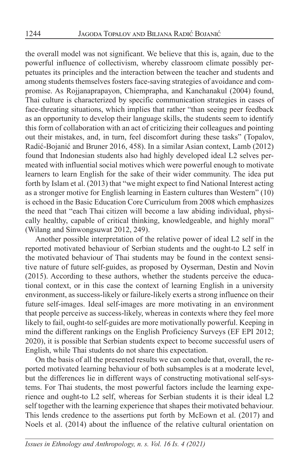the overall model was not significant. We believe that this is, again, due to the powerful influence of collectivism, whereby classroom climate possibly perpetuates its principles and the interaction between the teacher and students and among students themselves fosters face-saving strategies of avoidance and compromise. As Rojjanaprapayon, Chiemprapha, and Kanchanakul (2004) found, Thai culture is characterized by specific communication strategies in cases of face-threating situations, which implies that rather "than seeing peer feedback as an opportunity to develop their language skills, the students seem to identify this form of collaboration with an act of criticizing their colleagues and pointing out their mistakes, and, in turn, feel discomfort during these tasks" (Topalov, Radić-Bojanić and Bruner 2016, 458). In a similar Asian context, Lamb (2012) found that Indonesian students also had highly developed ideal L2 selves permeated with influential social motives which were powerful enough to motivate learners to learn English for the sake of their wider community. The idea put forth by Islam et al. (2013) that "we might expect to find National Interest acting as a stronger motive for English learning in Eastern cultures than Western" (10) is echoed in the Basic Education Core Curriculum from 2008 which emphasizes the need that "each Thai citizen will become a law abiding individual, physically healthy, capable of critical thinking, knowledgeable, and highly moral" (Wilang and Sinwongsuwat 2012, 249).

Another possible interpretation of the relative power of ideal L2 self in the reported motivated behaviour of Serbian students and the ought-to L2 self in the motivated behaviour of Thai students may be found in the context sensitive nature of future self-guides, as proposed by Oyserman, Destin and Novin (2015). According to these authors, whether the students perceive the educational context, or in this case the context of learning English in a university environment, as success-likely or failure-likely exerts a strong influence on their future self-images. Ideal self-images are more motivating in an environment that people perceive as success-likely, whereas in contexts where they feel more likely to fail, ought-to self-guides are more motivationally powerful. Keeping in mind the different rankings on the English Proficiency Surveys (EF EPI 2012; 2020), it is possible that Serbian students expect to become successful users of English, while Thai students do not share this expectation.

On the basis of all the presented results we can conclude that, overall, the reported motivated learning behaviour of both subsamples is at a moderate level, but the differences lie in different ways of constructing motivational self-systems. For Thai students, the most powerful factors include the learning experience and ought-to L2 self, whereas for Serbian students it is their ideal L2 self together with the learning experience that shapes their motivated behaviour. This lends credence to the assertions put forth by McEown et al. (2017) and Noels et al. (2014) about the influence of the relative cultural orientation on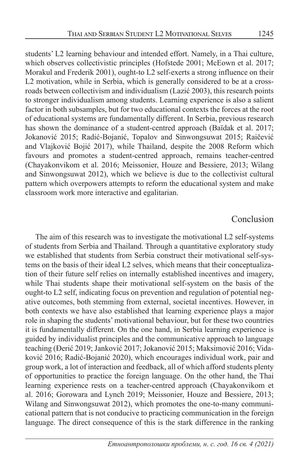students' L2 learning behaviour and intended effort. Namely, in a Thai culture, which observes collectivistic principles (Hofstede 2001; McEown et al. 2017; Morakul and Frederik 2001), ought-to L2 self-exerts a strong influence on their L2 motivation, while in Serbia, which is generally considered to be at a crossroads between collectivism and individualism (Lazić 2003), this research points to stronger individualism among students. Learning experience is also a salient factor in both subsamples, but for two educational contexts the forces at the root of educational systems are fundamentally different. In Serbia, previous research has shown the dominance of a student-centred approach (Baïdak et al. 2017; Jokanović 2015; Radić-Bojanić, Topalov and Sinwongsuwat 2015; Raičević and Vlajković Bojić 2017), while Thailand, despite the 2008 Reform which favours and promotes a student-centred approach, remains teacher-centred (Chayakonvikom et al. 2016; Meissonier, Houze and Bessiere, 2013; Wilang and Sinwongsuwat 2012), which we believe is due to the collectivist cultural pattern which overpowers attempts to reform the educational system and make classroom work more interactive and egalitarian.

### Conclusion

The aim of this research was to investigate the motivational L2 self-systems of students from Serbia and Thailand. Through a quantitative exploratory study we established that students from Serbia construct their motivational self-systems on the basis of their ideal L2 selves, which means that their conceptualization of their future self relies on internally established incentives and imagery, while Thai students shape their motivational self-system on the basis of the ought-to L2 self, indicating focus on prevention and regulation of potential negative outcomes, both stemming from external, societal incentives. However, in both contexts we have also established that learning experience plays a major role in shaping the students' motivational behaviour, but for these two countries it is fundamentally different. On the one hand, in Serbia learning experience is guided by individualist principles and the communicative approach to language teaching (Đerić 2019; Janković 2017; Jokanović 2015; Maksimović 2016; Vidaković 2016; Radić-Bojanić 2020), which encourages individual work, pair and group work, a lot of interaction and feedback, all of which afford students plenty of opportunities to practice the foreign language. On the other hand, the Thai learning experience rests on a teacher-centred approach (Chayakonvikom et al. 2016; Gorowara and Lynch 2019; Meissonier, Houze and Bessiere, 2013; Wilang and Sinwongsuwat 2012), which promotes the one-to-many communicational pattern that is not conducive to practicing communication in the foreign language. The direct consequence of this is the stark difference in the ranking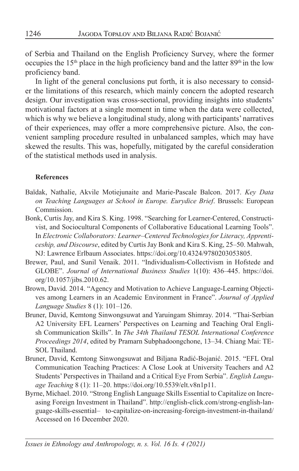of Serbia and Thailand on the English Proficiency Survey, where the former occupies the  $15<sup>th</sup>$  place in the high proficiency band and the latter  $89<sup>th</sup>$  in the low proficiency band.

In light of the general conclusions put forth, it is also necessary to consider the limitations of this research, which mainly concern the adopted research design. Our investigation was cross-sectional, providing insights into students' motivational factors at a single moment in time when the data were collected, which is why we believe a longitudinal study, along with participants' narratives of their experiences, may offer a more comprehensive picture. Also, the convenient sampling procedure resulted in unbalanced samples, which may have skewed the results. This was, hopefully, mitigated by the careful consideration of the statistical methods used in analysis.

#### **References**

- Baïdak, Nathalie, Akvile Motiejunaite and Marie-Pascale Balcon. 2017. *Key Data on Teaching Languages at School in Europe. Eurydice Brief*. Brussels: European Commission.
- Bonk, Curtis Jay, and Kira S. King. 1998. "Searching for Learner-Centered, Constructivist, and Sociocultural Components of Collaborative Educational Learning Tools". In *Electronic Collaborators: Learner–Centered Technologies for Literacy, Apprenticeship, and Discourse*, edited by Curtis Jay Bonk and Kira S. King, 25–50. Mahwah, NJ: Lawrence Erlbaum Associates. https://doi.org/10.4324/9780203053805.
- Brewer, Paul, and Sunil Venaik. 2011. "Individualism-Collectivism in Hofstede and GLOBE". *Journal of International Business Studies* 1(10): 436–445. https://doi. org/10.1057/jibs.2010.62.
- Brown, David. 2014. "Agency and Motivation to Achieve Language-Learning Objectives among Learners in an Academic Environment in France". *Journal of Applied Language Studies* 8 (1): 101–126.
- Bruner, David, Kemtong Sinwongsuwat and Yaruingam Shimray. 2014. "Thai-Serbian A2 University EFL Learners' Perspectives on Learning and Teaching Oral English Communication Skills". In *The 34th Thailand TESOL International Conference Proceedings 2014*, edited by Pramarn Subphadoongchone, 13–34. Chiang Mai: TE-SOL Thailand.
- Bruner, David, Kemtong Sinwongsuwat and Biljana Radić-Bojanić. 2015. "EFL Oral Communication Teaching Practices: A Close Look at University Teachers and A2 Students' Perspectives in Thailand and a Critical Eye From Serbia". *English Language Teaching* 8 (1): 11–20. https://doi.org/10.5539/elt.v8n1p11.
- Byrne, Michael. 2010. "Strong English Language Skills Essential to Capitalize on Increasing Foreign Investment in Thailand". http://english-click.com/strong-english-language-skills-essential– to-capitalize-on-increasing-foreign-investment-in-thailand/ Accessed on 16 December 2020.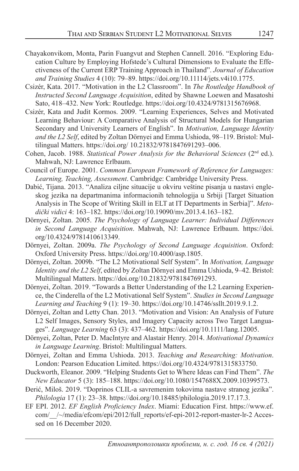- Chayakonvikom, Monta, Parin Fuangvut and Stephen Cannell. 2016. "Exploring Education Culture by Employing Hofstede's Cultural Dimensions to Evaluate the Effectiveness of the Current ERP Training Approach in Thailand". *Journal of Education and Training Studies* 4 (10): 79–89. https://doi.org/10.11114/jets.v4i10.1775.
- Csizér, Kata. 2017. "Motivation in the L2 Classroom". In *The Routledge Handbook of Instructed Second Language Acquisition*, edited by Shawne Loewen and Masatoshi Sato, 418–432. New York: Routledge. https://doi.org/10.4324/9781315676968.
- Csizér, Kata and Judit Kormos. 2009. "Learning Experiences, Selves and Motivated Learning Behaviour: A Comparative Analysis of Structural Models for Hungarian Secondary and University Learners of English". In *Motivation, Language Identity and the L2 Self*, edited by Zoltan Dörnyei and Emma Ushioda, 98–119. Bristol: Multilingual Matters. https://doi.org/ 10.21832/9781847691293–006.
- Cohen, Jacob. 1988. *Statistical Power Analysis for the Behavioral Sciences* (2nd ed.). Mahwah, NJ: Lawrence Erlbaum.
- Council of Europe. 2001. *Common European Framework of Reference for Languages: Learning, Teaching, Assessment*. Cambridge: Cambridge University Press.
- Dabić, Tijana. 2013. "Analiza ciljne situacije u okviru veštine pisanja u nastavi engleskog jezika na departmanima informacionih tehnologija u Srbiji [Target Situation Analysis in The Scope of Writing Skill in ELT at IT Departments in Serbia]". *Metodički vidici* 4: 163–182. https://doi.org/10.19090/mv.2013.4.163–182.
- Dörnyei, Zoltan. 2005. *The Psychology of Language Learner: Individual Differences in Second Language Acquisition*. Mahwah, NJ: Lawrence Erlbaum. https://doi. org/10.4324/9781410613349.
- Dörnyei, Zoltan. 2009a. *The Psychology of Second Language Acquisition*. Oxford: Oxford University Press. https://doi.org/10.4000/asp.1805.
- Dörnyei, Zoltan. 2009b. "The L2 Motivational Self System". In *Motivation, Language Identity and the L2 Self*, edited by Zoltan Dörnyei and Emma Ushioda, 9–42. Bristol: Multilingual Matters. https://doi.org/10.21832/9781847691293.
- Dörnyei, Zoltan. 2019. "Towards a Better Understanding of the L2 Learning Experience, the Cinderella of the L2 Motivational Self System". *Studies in Second Language Learning and Teaching* 9 (1): 19–30. https://doi.org/10.14746/ssllt.2019.9.1.2.
- Dörnyei, Zoltan and Letty Chan. 2013. "Motivation and Vision: An Analysis of Future L2 Self Images, Sensory Styles, and Imagery Capacity across Two Target Languages". *Language Learning* 63 (3): 437–462. https://doi.org/10.1111/lang.12005.
- Dörnyei, Zoltan, Peter D. MacIntyre and Alastair Henry. 2014. *Motivational Dynamics in Language Learning*. Bristol: Multilingual Matters.
- Dörnyei, Zoltan and Emma Ushioda. 2013. *Teaching and Researching: Motivation*. London: Pearson Education Limited. https://doi.org/10.4324/9781315833750.
- Duckworth, Eleanor. 2009. "Helping Students Get to Where Ideas can Find Them". *The New Educator* 5 (3): 185–188. https://doi.org/10.1080/1547688X.2009.10399573.
- Đerić, Miloš. 2019. "Doprinos CLIL-a savremenim tokovima nastave stranog jezika". *Philologia* 17 (1): 23–38. https://doi.org/10.18485/philologia.2019.17.17.3.
- EF EPI. 2012. *EF English Proficiency Index*. Miami: Education First. https://www.ef. com/ /~/media/efcom/epi/2012/full\_reports/ef-epi-2012-report-master-lr-2 Accessed on 16 December 2020.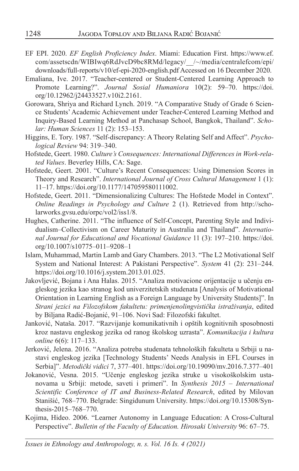- EF EPI. 2020. *EF English Proficiency Index*. Miami: Education First. https://www.ef. com/assetscdn/WIBIwq6RdJvcD9bc8RMd/legacy/\_\_/~/media/centralefcom/epi/ downloads/full-reports/v10/ef-epi-2020-english.pdf Accessed on 16 December 2020.
- Emaliana, Ive. 2017. "Teacher-centered or Student-Centered Learning Approach to Promote Learning?". *Journal Sosial Humaniora* 10(2): 59–70. https://doi. org/10.12962/j24433527.v10i2.2161.
- Gorowara, Shriya and Richard Lynch. 2019. "A Comparative Study of Grade 6 Science Students' Academic Achievement under Teacher-Centered Learning Method and Inquiry-Based Learning Method at Panchasap School, Bangkok, Thailand". *Scholar: Human Sciences* 11 (2): 153–153.
- Higgins, E. Tory. 1987. "Self-discrepancy: A Theory Relating Self and Affect". *Psychological Review* 94: 319–340.
- Hofstede, Geert. 1980. *Culture's Consequences: International Differences in Work-related Values*. Beverley Hills, CA: Sage.
- Hofstede, Geert. 2001. "Culture's Recent Consequences: Using Dimension Scores in Theory and Research". *International Journal of Cross Cultural Management* 1 (1): 11–17. https://doi.org/10.1177/147059580111002.
- Hofstede, Geert. 2011. "Dimensionalizing Cultures: The Hofstede Model in Context". *Online Readings in Psychology and Culture* 2 (1). Retrieved from http://scholarworks.gvsu.edu/orpc/vol2/iss1/8.
- Hughes, Catherine. 2011. "The influence of Self-Concept, Parenting Style and Individualism–Collectivism on Career Maturity in Australia and Thailand". *International Journal for Educational and Vocational Guidance* 11 (3): 197–210. https://doi. org/10.1007/s10775–011–9208–1
- Islam, Muhammad, Martin Lamb and Gary Chambers. 2013. "The L2 Motivational Self System and National Interest: A Pakistani Perspective". *System* 41 (2): 231–244. https://doi.org/10.1016/j.system.2013.01.025.
- Jakovljević, Bojana i Ana Halas. 2015. "Analiza motivacione orijentacije u učenju engleskog jezika kao stranog kod univerzitetskih studenata [Analysis of Motivational Orientation in Learning English as a Foreign Language by University Students]". In *Strani jezici na Filozofskom fakultetu: primenjenolingvistička istraživanja*, edited by Biljana Radić-Bojanić, 91–106. Novi Sad: Filozofski fakultet.
- Janković, Nataša. 2017. "Razvijanje komunikativnih i opštih kognitivnih sposobnosti kroz nastavu engleskog jezika od ranog školskog uzrasta". *Komunikacija i kultura online* 6(6): 117–133.
- Jerković, Jelena. 2016. "Analiza potreba studenata tehnoloških fakulteta u Srbiji u nastavi engleskog jezika [Technology Students' Needs Analysis in EFL Courses in Serbia]". *Metodički vidici* 7, 377–401. https://doi.org/10.19090/mv.2016.7.377–401
- Jokanović, Vesna. 2015. "Učenje engleskog jezika struke u visokoškolskim ustanovama u Srbiji: metode, saveti i primeri". In *Synthesis 2015 – International Scientific Conference of IT and Business-Related Research*, edited by Milovan Stanišić, 768–770. Belgrade: Singidunum University. https://doi.org/10.15308/Synthesis-2015–768–770.
- Kojima, Hideo. 2006. "Learner Autonomy in Language Education: A Cross-Cultural Perspective". *Bulletin of the Faculty of Education. Hirosaki University* 96: 67–75.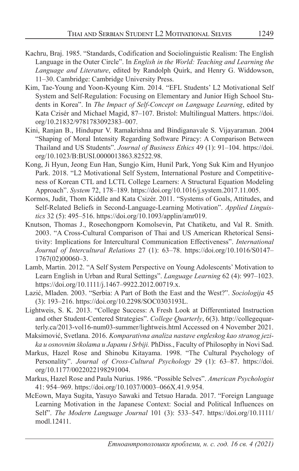- Kachru, Braj. 1985. "Standards, Codification and Sociolinguistic Realism: The English Language in the Outer Circle". In *English in the World: Teaching and Learning the Language and Literature*, edited by Randolph Quirk, and Henry G. Widdowson, 11–30. Cambridge: Cambridge University Press.
- Kim, Tae-Young and Yoon-Kyoung Kim. 2014. "EFL Students' L2 Motivational Self System and Self-Regulation: Focusing on Elementary and Junior High School Students in Korea". In *The Impact of Self-Concept on Language Learning*, edited by Kata Czisér and Michael Magid, 87–107. Bristol: Multilingual Matters. https://doi. org/10.21832/9781783092383–007.
- Kini, Ranjan B., Hindupur V. Ramakrishna and Bindiganavale S. Vijayaraman. 2004 "Shaping of Moral Intensity Regarding Software Piracy: A Comparison Between Thailand and US Students". *Journal of Business Ethics* 49 (1): 91–104. https://doi. org/10.1023/B:BUSI.0000013863.82522.98.
- Kong, Ji Hyun, Jeong Eun Han, Sungjo Kim, Hunil Park, Yong Suk Kim and Hyunjoo Park. 2018. "L2 Motivational Self System, International Posture and Competitiveness of Korean CTL and LCTL College Learners: A Structural Equation Modeling Approach". *System* 72, 178–189. https://doi.org/10.1016/j.system.2017.11.005.
- Kormos, Judit, Thom Kiddle and Kata Csizér. 2011. "Systems of Goals, Attitudes, and Self-Related Beliefs in Second-Language-Learning Motivation". *Applied Linguistics* 32 (5): 495–516. https://doi.org/10.1093/applin/amr019.
- Knutson, Thomas J., Rosechongporn Komolsevin, Pat Chatiketu, and Val R. Smith. 2003. "A Cross-Cultural Comparison of Thai and US American Rhetorical Sensitivity: Implications for Intercultural Communication Effectiveness". *International Journal of Intercultural Relations* 27 (1): 63–78. https://doi.org/10.1016/S0147– 1767(02)00060–3.
- Lamb, Martin. 2012. "A Self System Perspective on Young Adolescents' Motivation to Learn English in Urban and Rural Settings". *Language Learning* 62 (4): 997–1023. https://doi.org/10.1111/j.1467–9922.2012.00719.x.
- Lazić, Mladen. 2003. "Serbia: A Part of Both the East and the West?". *Sociologija* 45 (3): 193–216. https://doi.org/10.2298/SOC0303193L.
- Lightweis, S. K. 2013. "College Success: A Fresh Look at Differentiated Instruction and other Student-Centered Strategies". *College Quarterly*, 6(3). http://collegequarterly.ca/2013-vol16-num03-summer/lightweis.html Accessed on 4 November 2021.
- Maksimović, Svetlana. 2016. *Komparativna analiza nastave engleskog kao stranog jezika u osnovnim školama u Japanu i Srbiji.* PhDiss., Faculty of Philosophy in Novi Sad.
- Markus, Hazel Rose and Shinobu Kitayama. 1998. "The Cultural Psychology of Personality". *Journal of Cross-Cultural Psychology* 29 (1): 63–87. https://doi. org/10.1177/0022022198291004.
- Markus, Hazel Rose and Paula Nurius. 1986. "Possible Selves". *American Psychologist* 41: 954–969. https://doi.org/10.1037/0003–066X.41.9.954.
- McEown, Maya Sugita, Yasuyo Sawaki and Tetsuo Harada. 2017. "Foreign Language Learning Motivation in the Japanese Context: Social and Political Influences on Self". *The Modern Language Journal* 101 (3): 533–547. https://doi.org/10.1111/ modl.12411.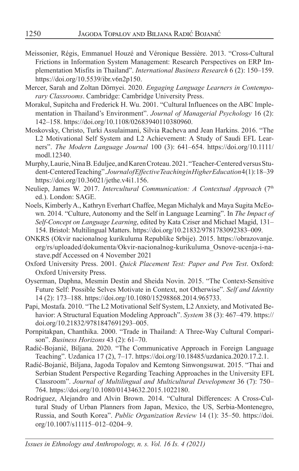- Meissonier, Régis, Emmanuel Houzé and Véronique Bessière. 2013. "Cross-Cultural Frictions in Information System Management: Research Perspectives on ERP Implementation Misfits in Thailand". *International Business Research* 6 (2): 150–159. https://doi.org/10.5539/ibr.v6n2p150.
- Mercer, Sarah and Zoltan Dörnyei. 2020. *Engaging Language Learners in Contemporary Classrooms*. Cambridge: Cambridge University Press.
- Morakul, Supitcha and Frederick H. Wu. 2001. "Cultural Influences on the ABC Implementation in Thailand's Environment". *Journal of Managerial Psychology* 16 (2): 142–158. https://doi.org/10.1108/02683940110380960.
- Moskovsky, Christo, Turki Assulaimani, Silvia Racheva and Jean Harkins. 2016. "The L2 Motivational Self System and L2 Achievement: A Study of Saudi EFL Learners". *The Modern Language Journal* 100 (3): 641–654. https://doi.org/10.1111/ modl.12340.
- Murphy, Laurie, Nina B. Eduljee, and Karen Croteau. 2021. "Teacher-Centered versus Student-Centered Teaching". *Journal of Effective Teaching in Higher Education* 4 (1): 18–39 https://doi.org/10.36021/jethe.v4i1.156.
- Neuliep, James W. 2017. *Intercultural Communication: A Contextual Approach* (7<sup>th</sup> ed.). London: SAGE.
- Noels, Kimberly A., Kathryn Everhart Chaffee, Megan Michalyk and Maya Sugita McEown. 2014. "Culture, Autonomy and the Self in Language Learning". In *The Impact of Self-Concept on Language Learning*, edited by Kata Cziser and Michael Magid, 131– 154. Bristol: Multilingual Matters. https://doi.org/10.21832/9781783092383–009.
- ONKRS (Okvir nacionalnog kurikuluma Republike Srbije). 2015. https://obrazovanje. org/rs/uploaded/dokumenta/Okvir-nacionalnog-kurikuluma\_Osnove-ucenja-i-nastave.pdf Accessed on 4 November 2021
- Oxford University Press. 2001. *Quick Placement Test: Paper and Pen Test*. Oxford: Oxford University Press.
- Oyserman, Daphna, Mesmin Destin and Sheida Novin. 2015. "The Context-Sensitive Future Self: Possible Selves Motivate in Context, not Otherwise". *Self and Identity* 14 (2): 173–188. https://doi.org/10.1080/15298868.2014.965733.
- Papi, Mostafa. 2010. "The L2 Motivational Self System, L2 Anxiety, and Motivated Behavior: A Structural Equation Modeling Approach". *System* 38 (3): 467–479. https:// doi.org/10.21832/9781847691293–005.
- Pornpitakpan, Chanthika. 2000. "Trade in Thailand: A Three-Way Cultural Comparison". *Business Horizons* 43 (2): 61–70.
- Radić-Bojanić, Biljana. 2020. "The Communicative Approach in Foreign Language Teaching". Uzdanica 17 (2), 7–17. https://doi.org/10.18485/uzdanica.2020.17.2.1.
- Radić-Bojanić, Biljana, Jagoda Topalov and Kemtong Sinwongsuwat. 2015. "Thai and Serbian Student Perspective Regarding Teaching Approaches in the University EFL Classroom". *Journal of Multilingual and Multicultural Development* 36 (7): 750– 764. https://doi.org/10.1080/01434632.2015.1022180.
- Rodriguez, Alejandro and Alvin Brown. 2014. "Cultural Differences: A Cross-Cultural Study of Urban Planners from Japan, Mexico, the US, Serbia-Montenegro, Russia, and South Korea". *Public Organization Review* 14 (1): 35–50. https://doi. org/10.1007/s11115–012–0204–9.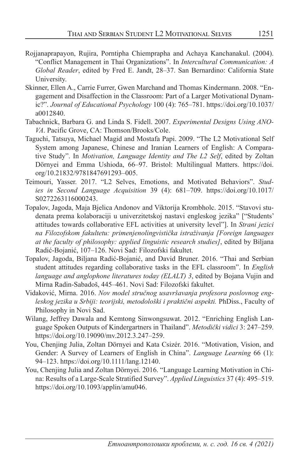- Rojjanaprapayon, Rujira, Porntipha Chiemprapha and Achaya Kanchanakul. (2004). "Conflict Management in Thai Organizations". In *Intercultural Communication: A Global Reader*, edited by Fred E. Jandt, 28–37. San Bernardino: California State University.
- Skinner, Ellen A., Carrie Furrer, Gwen Marchand and Thomas Kindermann. 2008. "Engagement and Disaffection in the Classroom: Part of a Larger Motivational Dynamic?". *Journal of Educational Psychology* 100 (4): 765–781. https://doi.org/10.1037/ a0012840.
- Tabachnick, Barbara G. and Linda S. Fidell. 2007. *Experimental Designs Using ANO-VA*. Pacific Grove, CA: Thomson/Brooks/Cole.
- Taguchi, Tatsuya, Michael Magid and Mostafa Papi. 2009. "The L2 Motivational Self System among Japanese, Chinese and Iranian Learners of English: A Comparative Study". In *Motivation, Language Identity and The L2 Self*, edited by Zoltan Dörnyei and Emma Ushioda, 66–97. Bristol: Multilingual Matters. https://doi. org/10.21832/9781847691293–005.
- Teimouri, Yasser. 2017. "L2 Selves, Emotions, and Motivated Behaviors". *Studies in Second Language Acquisition* 39 (4): 681–709. https://doi.org/10.1017/ S0272263116000243.
- Topalov, Jagoda, Maja Bjelica Andonov and Viktorija Krombholc. 2015. "Stavovi studenata prema kolaboraciji u univerzitetskoj nastavi engleskog jezika" ["Students' attitudes towards collaborative EFL activities at university level"]. In *Strani jezici na Filozofskom fakultetu: primenjenolingvistička istraživanja [Foreign languages at the faculty of philosophy: applied linguistic research studies]*, edited by Biljana Radić-Bojanić, 107–126. Novi Sad: Filozofski fakultet.
- Topalov, Jagoda, Biljana Radić-Bojanić, and David Bruner. 2016. "Thai and Serbian student attitudes regarding collaborative tasks in the EFL classroom". In *English language and anglophone literatures today (ELALT) 3*, edited by Bojana Vujin and Mirna Radin-Sabadoš, 445–461. Novi Sad: Filozofski fakultet.
- Vidaković, Mirna. 2016. *Nov model stručnog usavršavanja profesora poslovnog engleskog jezika u Srbiji: teorijski, metodološki i praktični aspekti.* PhDiss., Faculty of Philosophy in Novi Sad.
- Wilang, Jeffrey Dawala and Kemtong Sinwongsuwat. 2012. "Enriching English Language Spoken Outputs of Kindergartners in Thailand". *Metodički vidici* 3: 247–259. https://doi.org/10.19090/mv.2012.3.247–259.
- You, Chenjing Julia, Zoltan Dörnyei and Kata Csizér. 2016. "Motivation, Vision, and Gender: A Survey of Learners of English in China". *Language Learning* 66 (1): 94–123. https://doi.org/10.1111/lang.12140.
- You, Chenjing Julia and Zoltan Dörnyei. 2016. "Language Learning Motivation in China: Results of a Large-Scale Stratified Survey". *Applied Linguistics* 37 (4): 495–519. https://doi.org/10.1093/applin/amu046.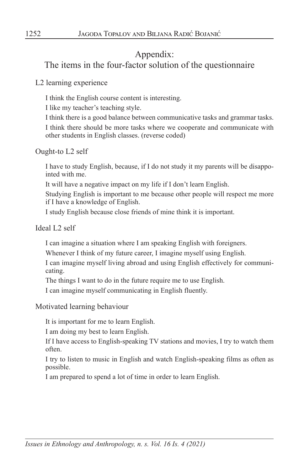# Appendix:

# The items in the four-factor solution of the questionnaire

#### L2 learning experience

I think the English course content is interesting.

I like my teacher's teaching style.

I think there is a good balance between communicative tasks and grammar tasks.

 I think there should be more tasks where we cooperate and communicate with other students in English classes. (reverse coded)

Ought-to L2 self

 I have to study English, because, if I do not study it my parents will be disappointed with me.

It will have a negative impact on my life if I don't learn English.

 Studying English is important to me because other people will respect me more if I have a knowledge of English.

I study English because close friends of mine think it is important.

Ideal L2 self

I can imagine a situation where I am speaking English with foreigners.

Whenever I think of my future career, I imagine myself using English.

 I can imagine myself living abroad and using English effectively for communicating.

The things I want to do in the future require me to use English.

I can imagine myself communicating in English fluently.

Motivated learning behaviour

It is important for me to learn English.

I am doing my best to learn English.

 If I have access to English-speaking TV stations and movies, I try to watch them often.

 I try to listen to music in English and watch English-speaking films as often as possible.

I am prepared to spend a lot of time in order to learn English.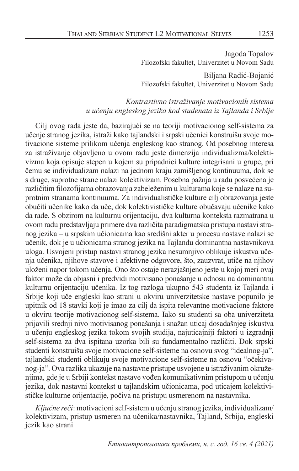Jagoda Topalov Filozofski fakultet, Univerzitet u Novom Sadu

Biljana Radić-Bojanić Filozofski fakultet, Univerzitet u Novom Sadu

#### *Kontrastivno istraživanje motivacionih sistema u učenju engleskog jezika kod studenata iz Tajlanda i Srbije*

Cilj ovog rada jeste da, bazirajući se na teoriji motivacionog self-sistema za učenje stranog jezika, istraži kako tajlandski i srpski učenici konstruišu svoje motivacione sisteme prilikom učenja engleskog kao stranog. Od posebnog interesa za istraživanje objavljeno u ovom radu jeste dimenzija individualizma/kolektivizma koja opisuje stepen u kojem su pripadnici kulture integrisani u grupe, pri čemu se individualizam nalazi na jednom kraju zamišljenog kontinuuma, dok se s druge, suprotne strane nalazi kolektivizam. Posebna pažnja u radu posvećena je različitim filozofijama obrazovanja zabeleženim u kulturama koje se nalaze na suprotnim stranama kontinuuma. Za individualističke kulture cilj obrazovanja jeste obučiti učenike kako da uče, dok kolektivističke kulture obučavaju učenike kako da rade. S obzirom na kulturnu orijentaciju, dva kulturna konteksta razmatrana u ovom radu predstavljaju primere dva različita paradigmatska pristupa nastavi stranog jezika – u srpskim učionicama kao središni akter u procesu nastave nalazi se učenik, dok je u učionicama stranog jezika na Tajlandu dominantna nastavnikova uloga. Usvojeni pristup nastavi stranog jezika nesumnjivo oblikuje iskustva učenja učenika, njihove stavove i afektivne odgovore, što, zauzvrat, utiče na njihov uloženi napor tokom učenja. Ono što ostaje nerazjašnjeno jeste u kojoj meri ovaj faktor može da objasni i predvidi motivisano ponašanje u odnosu na dominantnu kulturnu orijentaciju učenika. Iz tog razloga ukupno 543 studenta iz Tajlanda i Srbije koji uče engleski kao strani u okviru univerzitetske nastave popunilo je upitnik od 18 stavki koji je imao za cilj da ispita relevantne motivacione faktore u okviru teorije motivacionog self-sistema. Iako su studenti sa oba univerziteta prijavili srednji nivo motivisanog ponašanja i snažan uticaj dosadašnjeg iskustva u učenju engleskog jezika tokom svojih studija, najuticajniji faktori u izgradnji self-sistema za dva ispitana uzorka bili su fundamentalno različiti. Dok srpski studenti konstruišu svoje motivacione self-sisteme na osnovu svog "idealnog-ja", tajlandski studenti oblikuju svoje motivacione self-sisteme na osnovu "očekivanog-ja". Ova razlika ukazuje na nastavne pristupe usvojene u istraživanim okruženjima, gde je u Srbiji kontekst nastave vođen komunikativnim pristupom u učenju jezika, dok nastavni kontekst u tajlandskim učionicama, pod uticajem kolektivističke kulturne orijentacije, počiva na pristupu usmerenom na nastavnika.

*Ključne reči*: motivacioni self-sistem u učenju stranog jezika, individualizam/ kolektivizam, pristup usmeren na učenika/nastavnika, Tajland, Srbija, engleski jezik kao strani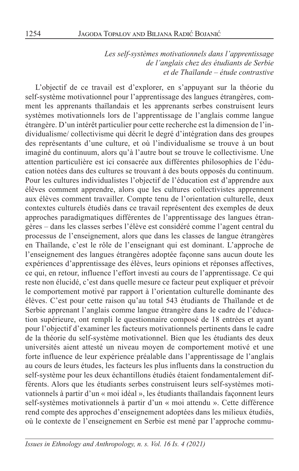*Les self-systèmes motivationnels dans l'apprentissage de l'anglais chez des étudiants de Serbie et de Thaïlande – étude contrastive*

L'objectif de ce travail est d'explorer, en s'appuyant sur la théorie du self-système motivationnel pour l'apprentissage des langues étrangères, comment les apprenants thaïlandais et les apprenants serbes construisent leurs systèmes motivationnels lors de l'apprentissage de l'anglais comme langue étrangère. D'un intérêt particulier pour cette recherche est la dimension de l'individualisme/ collectivisme qui décrit le degré d'intégration dans des groupes des représentants d'une culture, et où l'individualisme se trouve à un bout imaginé du continuum, alors qu'à l'autre bout se trouve le collectivisme. Une attention particulière est ici consacrée aux différentes philosophies de l'éducation notées dans des cultures se trouvant à des bouts opposés du continuum. Pour les cultures individualistes l'objectif de l'éducation est d'apprendre aux élèves comment apprendre, alors que les cultures collectivistes apprennent aux élèves comment travailler. Compte tenu de l'orientation culturelle, deux contextes culturels étudiés dans ce travail représentent des exemples de deux approches paradigmatiques différentes de l'apprentissage des langues étrangères – dans les classes serbes l'élève est considéré comme l'agent central du processus de l'enseignement, alors que dans les classes de langue étrangères en Thaïlande, c'est le rôle de l'enseignant qui est dominant. L'approche de l'enseignement des langues étrangères adoptée façonne sans aucun doute les expériences d'apprentissage des élèves, leurs opinions et réponses affectives, ce qui, en retour, influence l'effort investi au cours de l'apprentissage. Ce qui reste non élucidé, c'est dans quelle mesure ce facteur peut expliquer et prévoir le comportement motivé par rapport à l'orientation culturelle dominante des élèves. C'est pour cette raison qu'au total 543 étudiants de Thaïlande et de Serbie apprenant l'anglais comme langue étrangère dans le cadre de l'éducation supérieure, ont rempli le questionnaire composé de 18 entrées et ayant pour l'objectif d'examiner les facteurs motivationnels pertinents dans le cadre de la théorie du self-système motivationnel. Bien que les étudiants des deux universités aient attesté un niveau moyen de comportement motivé et une forte influence de leur expérience préalable dans l'apprentissage de l'anglais au cours de leurs études, les facteurs les plus influents dans la construction du self-système pour les deux échantillons étudiés étaient fondamentalement différents. Alors que les étudiants serbes construisent leurs self-systèmes motivationnels à partir d'un « moi idéal », les étudiants thaïlandais façonnent leurs self-systèmes motivationnels à partir d'un « moi attendu ». Cette différence rend compte des approches d'enseignement adoptées dans les milieux étudiés, où le contexte de l'enseignement en Serbie est mené par l'approche commu